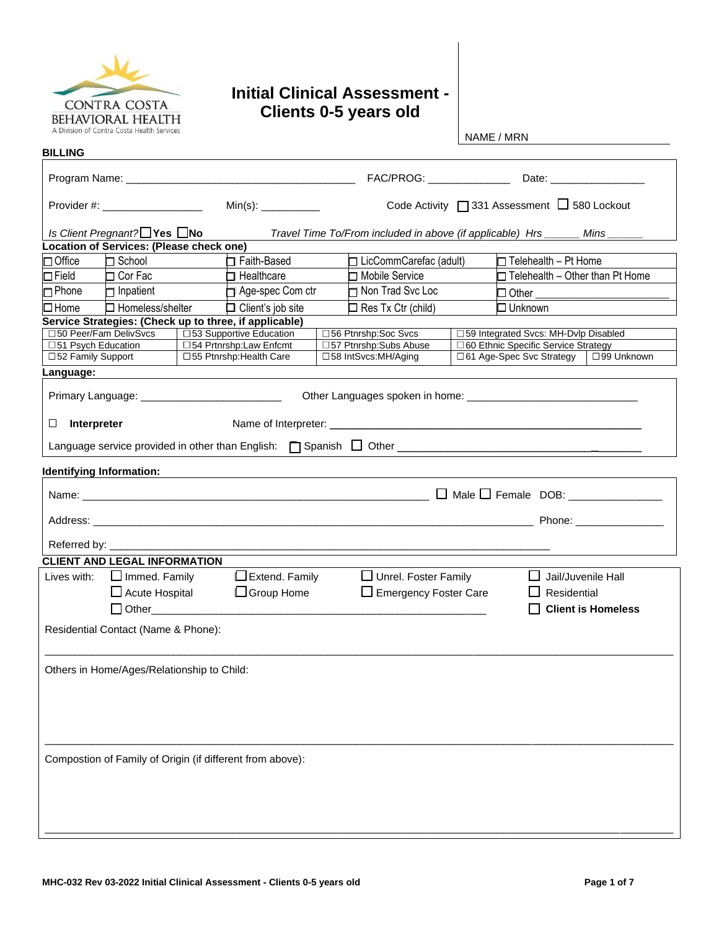

# **Initial Clinical Assessment - Clients 0-5 years old**

NAME / MRN

| <b>BILLING</b>                                            |                                                                             |                                                     |  |                                                                 |                                              |                                                                                     |  |
|-----------------------------------------------------------|-----------------------------------------------------------------------------|-----------------------------------------------------|--|-----------------------------------------------------------------|----------------------------------------------|-------------------------------------------------------------------------------------|--|
|                                                           |                                                                             |                                                     |  |                                                                 |                                              |                                                                                     |  |
| Provider #: ___________________                           |                                                                             |                                                     |  |                                                                 | Code Activity □ 331 Assessment □ 580 Lockout |                                                                                     |  |
| Is Client Pregnant? $\Box$ Yes $\Box$ No                  |                                                                             |                                                     |  | Travel Time To/From included in above (if applicable) Hrs _____ |                                              | Mins                                                                                |  |
| Location of Services: (Please check one)                  |                                                                             |                                                     |  |                                                                 |                                              |                                                                                     |  |
| $\Box$ Office<br>$\Box$ School                            | Faith-Based<br>$\Box$ LicCommCarefac (adult)<br>$\Box$ Telehealth - Pt Home |                                                     |  |                                                                 |                                              |                                                                                     |  |
| $\Box$ Field<br>□ Cor Fac                                 |                                                                             | $\Box$ Healthcare                                   |  | □ Mobile Service                                                |                                              | $\Box$ Telehealth – Other than Pt Home                                              |  |
| Inpatient<br>$\Box$ Phone                                 | Age-spec Com ctr                                                            |                                                     |  | Non Trad Svc Loc                                                |                                              | $\Box$ Other                                                                        |  |
| $\Box$ Homeless/shelter<br>$\Box$ Home                    |                                                                             | $\Box$ Client's job site                            |  | $\Box$ Unknown<br>$\Box$ Res Tx Ctr (child)                     |                                              |                                                                                     |  |
| Service Strategies: (Check up to three, if applicable)    |                                                                             |                                                     |  |                                                                 |                                              |                                                                                     |  |
| □50 Peer/Fam DelivSvcs                                    |                                                                             | □53 Supportive Education                            |  | □56 Ptnrshp:Soc Svcs                                            |                                              | □59 Integrated Svcs: MH-Dvlp Disabled                                               |  |
| □51 Psych Education                                       |                                                                             | □54 Prtnrshp:Law Enfcmt<br>□55 Ptnrshp: Health Care |  | □57 Ptnrshp:Subs Abuse<br>□58 IntSvcs:MH/Aging                  |                                              | □ 60 Ethnic Specific Service Strategy<br>□ 61 Age-Spec Svc Strategy   □ 99 Unknown  |  |
| □52 Family Support                                        |                                                                             |                                                     |  |                                                                 |                                              |                                                                                     |  |
| Language:                                                 |                                                                             |                                                     |  |                                                                 |                                              |                                                                                     |  |
|                                                           |                                                                             |                                                     |  |                                                                 |                                              |                                                                                     |  |
| Interpreter<br>⊔                                          |                                                                             |                                                     |  |                                                                 |                                              |                                                                                     |  |
|                                                           |                                                                             |                                                     |  |                                                                 |                                              | Language service provided in other than English: $\Box$ Spanish $\Box$ Other $\Box$ |  |
| Identifying Information:                                  |                                                                             |                                                     |  |                                                                 |                                              |                                                                                     |  |
|                                                           |                                                                             |                                                     |  |                                                                 |                                              |                                                                                     |  |
|                                                           |                                                                             |                                                     |  |                                                                 |                                              |                                                                                     |  |
|                                                           |                                                                             |                                                     |  |                                                                 |                                              |                                                                                     |  |
| Referred by: ___________                                  |                                                                             |                                                     |  |                                                                 |                                              |                                                                                     |  |
| <b>CLIENT AND LEGAL INFORMATION</b>                       |                                                                             |                                                     |  |                                                                 |                                              |                                                                                     |  |
| $\Box$ Immed. Family<br>Lives with:                       |                                                                             | $\Box$ Extend. Family                               |  | $\Box$ Unrel. Foster Family                                     |                                              | $\Box$ Jail/Juvenile Hall                                                           |  |
| $\Box$ Acute Hospital                                     |                                                                             | □ Group Home                                        |  | $\Box$ Emergency Foster Care                                    |                                              | Residential                                                                         |  |
|                                                           | □ Other______________<br><b>Client is Homeless</b>                          |                                                     |  |                                                                 |                                              |                                                                                     |  |
| Residential Contact (Name & Phone):                       |                                                                             |                                                     |  |                                                                 |                                              |                                                                                     |  |
| Others in Home/Ages/Relationship to Child:                |                                                                             |                                                     |  |                                                                 |                                              |                                                                                     |  |
|                                                           |                                                                             |                                                     |  |                                                                 |                                              |                                                                                     |  |
|                                                           |                                                                             |                                                     |  |                                                                 |                                              |                                                                                     |  |
|                                                           |                                                                             |                                                     |  |                                                                 |                                              |                                                                                     |  |
| Compostion of Family of Origin (if different from above): |                                                                             |                                                     |  |                                                                 |                                              |                                                                                     |  |
|                                                           |                                                                             |                                                     |  |                                                                 |                                              |                                                                                     |  |
|                                                           |                                                                             |                                                     |  |                                                                 |                                              |                                                                                     |  |
|                                                           |                                                                             |                                                     |  |                                                                 |                                              |                                                                                     |  |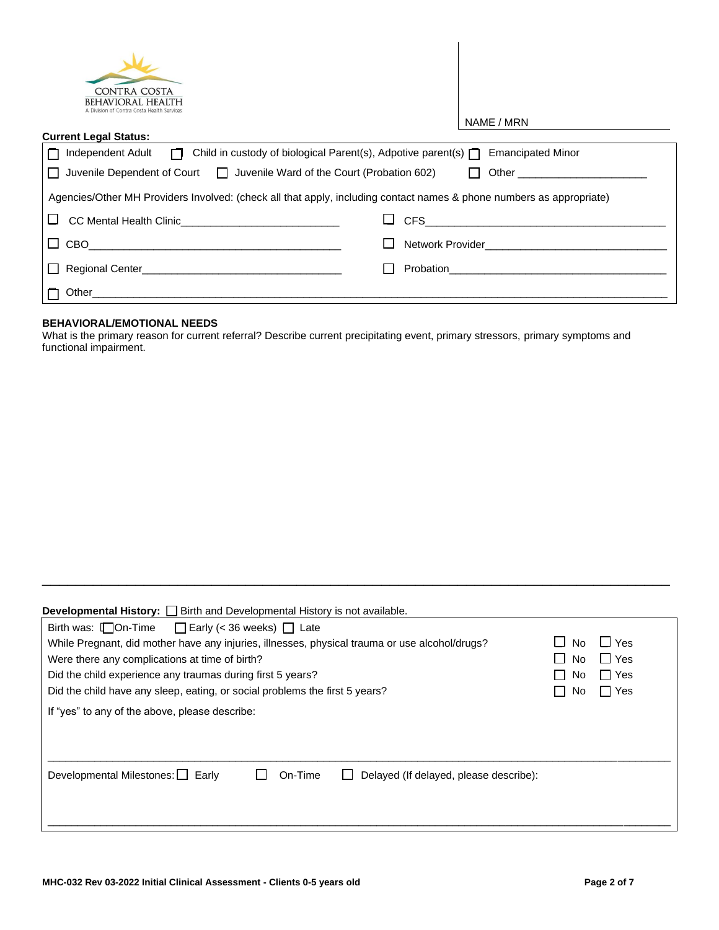| <b>CONTRA COSTA</b><br><b>BEHAVIORAL HEALTH</b><br>A Division of Contra Costa Health Services                        |                                                                                                                                                                                                                                    |
|----------------------------------------------------------------------------------------------------------------------|------------------------------------------------------------------------------------------------------------------------------------------------------------------------------------------------------------------------------------|
|                                                                                                                      | NAME / MRN                                                                                                                                                                                                                         |
| <b>Current Legal Status:</b>                                                                                         |                                                                                                                                                                                                                                    |
| Independent Adult $\Box$ Child in custody of biological Parent(s), Adpotive parent(s) $\Box$ Emancipated Minor       |                                                                                                                                                                                                                                    |
| Juvenile Dependent of Court $\Box$ Juvenile Ward of the Court (Probation 602)                                        | Other the contract of the contract of the contract of the contract of the contract of the contract of the contract of the contract of the contract of the contract of the contract of the contract of the contract of the cont     |
| Agencies/Other MH Providers Involved: (check all that apply, including contact names & phone numbers as appropriate) |                                                                                                                                                                                                                                    |
|                                                                                                                      |                                                                                                                                                                                                                                    |
| CBO                                                                                                                  | Network Provider <b>Network</b> Provider                                                                                                                                                                                           |
|                                                                                                                      | <b>Probation Contract Contract Contract Contract Contract Contract Contract Contract Contract Contract Contract Contract Contract Contract Contract Contract Contract Contract Contract Contract Contract Contract Contract Co</b> |
| Other<br><u> 2000 - Jan Barnett, mars et al. (f. 1980)</u>                                                           |                                                                                                                                                                                                                                    |

#### **BEHAVIORAL/EMOTIONAL NEEDS**

What is the primary reason for current referral? Describe current precipitating event, primary stressors, primary symptoms and functional impairment.

| <b>Developmental History:</b> [ Genth and Developmental History is not available.              |     |         |  |  |  |
|------------------------------------------------------------------------------------------------|-----|---------|--|--|--|
| Birth was: $\Box$ On-Time<br>$\Box$ Early (< 36 weeks) $\Box$ Late                             |     |         |  |  |  |
| While Pregnant, did mother have any injuries, illnesses, physical trauma or use alcohol/drugs? | No. | ⊿ Yes   |  |  |  |
| Were there any complications at time of birth?                                                 | No. | i ∐ Yes |  |  |  |
| Did the child experience any traumas during first 5 years?                                     | No. | l Yes   |  |  |  |
| Did the child have any sleep, eating, or social problems the first 5 years?                    | No. | □ Yes   |  |  |  |
| If "yes" to any of the above, please describe:                                                 |     |         |  |  |  |
| Developmental Milestones: $\Box$ Early<br>On-Time<br>Delayed (If delayed, please describe):    |     |         |  |  |  |
|                                                                                                |     |         |  |  |  |

\_\_\_\_\_\_\_\_\_\_\_\_\_\_\_\_\_\_\_\_\_\_\_\_\_\_\_\_\_\_\_\_\_\_\_\_\_\_\_\_\_\_\_\_\_\_\_\_\_\_\_\_\_\_\_\_\_\_\_\_\_\_\_\_\_\_\_\_\_\_\_\_\_\_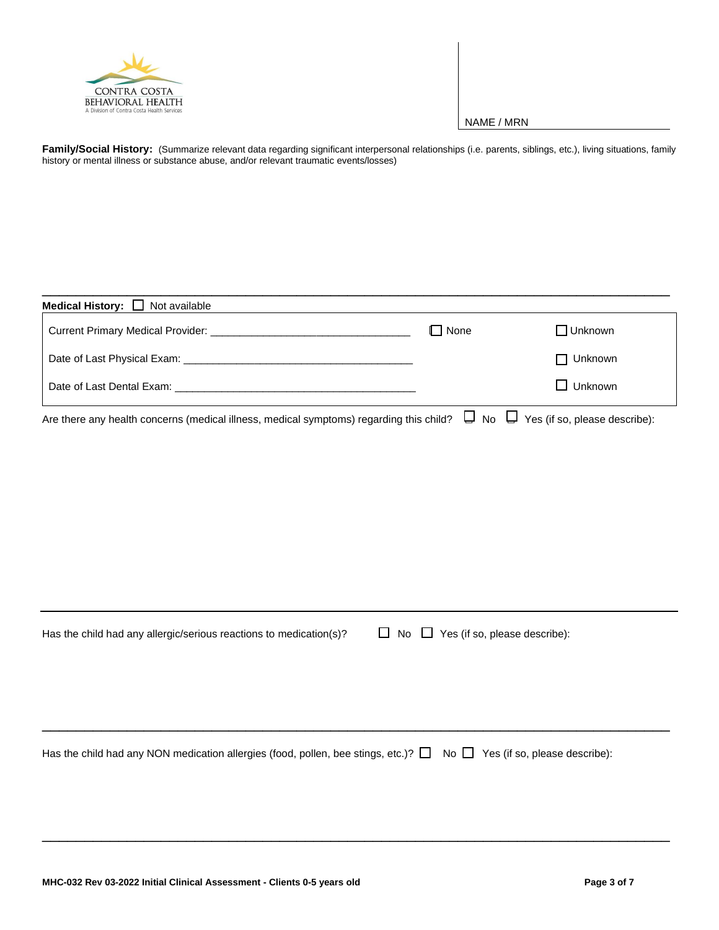

Family/Social History: (Summarize relevant data regarding significant interpersonal relationships (i.e. parents, siblings, etc.), living situations, family history or mental illness or substance abuse, and/or relevant traumatic events/losses)

| <b>Medical History:</b> $\Box$ Not available                                                                                           |             |                   |  |
|----------------------------------------------------------------------------------------------------------------------------------------|-------------|-------------------|--|
|                                                                                                                                        | $\Box$ None | $\square$ Unknown |  |
|                                                                                                                                        |             | $\Box$ Unknown    |  |
|                                                                                                                                        |             | $\Box$ Unknown    |  |
| Are there any health concerns (medical illness, medical symptoms) regarding this child? $\Box$ No $\Box$ Yes (if so, please describe): |             |                   |  |

| Has the child had any allergic/serious reactions to medication(s)? | $\Box$ No $\Box$ Yes (if so, please describe): |
|--------------------------------------------------------------------|------------------------------------------------|
|--------------------------------------------------------------------|------------------------------------------------|

Has the child had any NON medication allergies (food, pollen, bee stings, etc.)?  $\Box$  No  $\Box$  Yes (if so, please describe):

\_\_\_\_\_\_\_\_\_\_\_\_\_\_\_\_\_\_\_\_\_\_\_\_\_\_\_\_\_\_\_\_\_\_\_\_\_\_\_\_\_\_\_\_\_\_\_\_\_\_\_\_\_\_\_\_\_\_\_\_\_\_\_\_\_\_\_\_\_\_\_\_\_\_

\_\_\_\_\_\_\_\_\_\_\_\_\_\_\_\_\_\_\_\_\_\_\_\_\_\_\_\_\_\_\_\_\_\_\_\_\_\_\_\_\_\_\_\_\_\_\_\_\_\_\_\_\_\_\_\_\_\_\_\_\_\_\_\_\_\_\_\_\_\_\_\_\_\_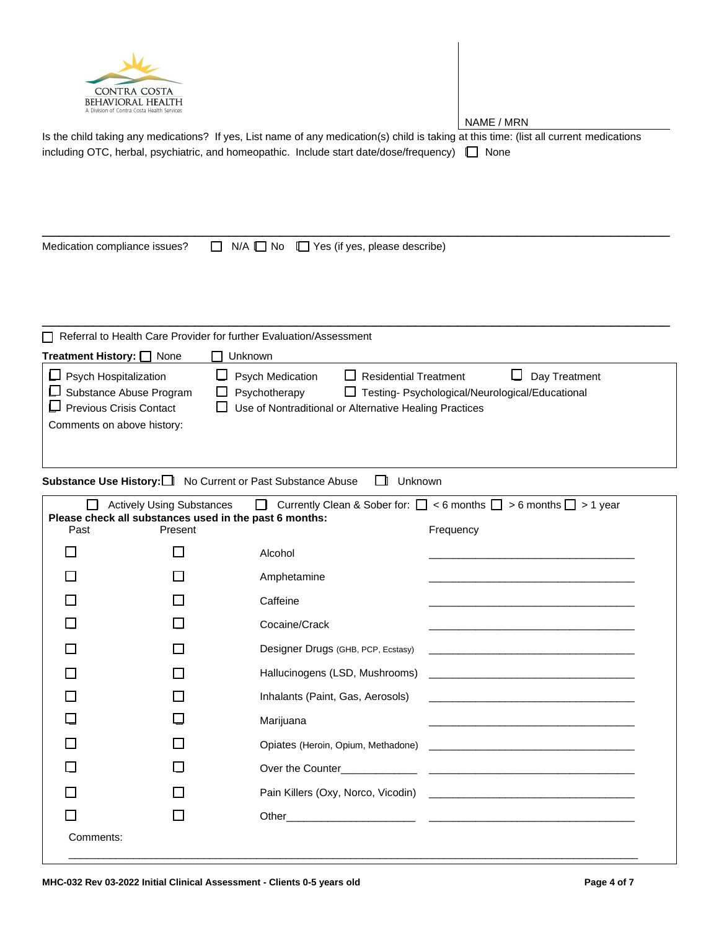

Is the child taking any medications? If yes, List name of any medication(s) child is taking at this time: (list all current medications including OTC, herbal, psychiatric, and homeopathic. Include start date/dose/frequency)  $\Box$  None

Medication compliance issues?  $\Box$  N/A  $\Box$  No  $\Box$  Yes (if yes, please describe)

\_\_\_\_\_\_\_\_\_\_\_\_\_\_\_\_\_\_\_\_\_\_\_\_\_\_\_\_\_\_\_\_\_\_\_\_\_\_\_\_\_\_\_\_\_\_\_\_\_\_\_\_\_\_\_\_\_\_\_\_\_\_\_\_\_\_\_\_\_\_\_\_\_\_

|                                                                                                                                | Referral to Health Care Provider for further Evaluation/Assessment                                                                                                                                                                    |
|--------------------------------------------------------------------------------------------------------------------------------|---------------------------------------------------------------------------------------------------------------------------------------------------------------------------------------------------------------------------------------|
| Treatment History: <u>Samush</u> None                                                                                          | Unknown                                                                                                                                                                                                                               |
| $\Box$ Psych Hospitalization<br>$\Box$ Substance Abuse Program<br>$\Box$ Previous Crisis Contact<br>Comments on above history: | <b>Psych Medication</b><br>$\Box$ Residential Treatment<br>Day Treatment<br>ப<br>Psychotherapy<br>□ Testing- Psychological/Neurological/Educational<br>ΙI<br>Use of Nontraditional or Alternative Healing Practices<br>$\blacksquare$ |

# **Substance Use History:**  $\Box$  No Current or Past Substance Abuse  $\Box$  Unknown

| Currently Clean & Sober for: $\Box$ < 6 months $\Box$ > 6 months $\Box$ > 1 year<br><b>Actively Using Substances</b><br>Please check all substances used in the past 6 months: |         |                                    |                                                                                                                        |  |  |
|--------------------------------------------------------------------------------------------------------------------------------------------------------------------------------|---------|------------------------------------|------------------------------------------------------------------------------------------------------------------------|--|--|
| Past                                                                                                                                                                           | Present |                                    | Frequency                                                                                                              |  |  |
|                                                                                                                                                                                |         | Alcohol                            | <u> 1989 - Johann Stein, marwolaethau a bhann an t-Amhain ann an t-Amhain an t-Amhain an t-Amhain an t-Amhain an </u>  |  |  |
|                                                                                                                                                                                |         | Amphetamine                        | <u> 1989 - Johann John Stein, Amerikaansk politiker (* 1958)</u>                                                       |  |  |
|                                                                                                                                                                                |         | Caffeine                           |                                                                                                                        |  |  |
|                                                                                                                                                                                |         | Cocaine/Crack                      | <u> 1980 - Jan James James Jan James James James James James James James James James James James James James Jam</u>   |  |  |
|                                                                                                                                                                                |         | Designer Drugs (GHB, PCP, Ecstasy) |                                                                                                                        |  |  |
|                                                                                                                                                                                |         |                                    |                                                                                                                        |  |  |
|                                                                                                                                                                                |         | Inhalants (Paint, Gas, Aerosols)   |                                                                                                                        |  |  |
|                                                                                                                                                                                |         | Marijuana                          | <u> 1980 - An Dùbhlachd ann an Dùbhlachd ann an Dùbhlachd ann an Dùbhlachd ann an Dùbhlachd ann an Dùbhlachd ann a</u> |  |  |
|                                                                                                                                                                                |         |                                    |                                                                                                                        |  |  |
|                                                                                                                                                                                |         |                                    |                                                                                                                        |  |  |
|                                                                                                                                                                                |         |                                    |                                                                                                                        |  |  |
|                                                                                                                                                                                |         |                                    |                                                                                                                        |  |  |
| Comments:                                                                                                                                                                      |         |                                    |                                                                                                                        |  |  |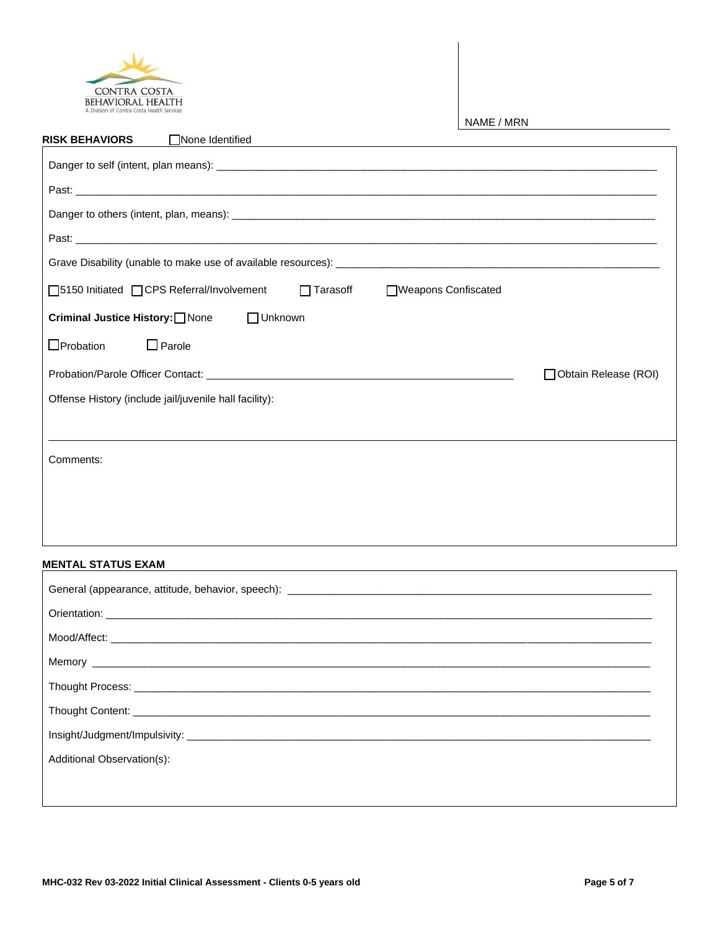

| □None Identified<br><b>RISK BEHAVIORS</b>                                      |                      |  |  |  |  |
|--------------------------------------------------------------------------------|----------------------|--|--|--|--|
|                                                                                |                      |  |  |  |  |
|                                                                                |                      |  |  |  |  |
|                                                                                |                      |  |  |  |  |
|                                                                                |                      |  |  |  |  |
|                                                                                |                      |  |  |  |  |
| □5150 Initiated □ CPS Referral/Involvement □ Tarasoff □ △ UVeapons Confiscated |                      |  |  |  |  |
| □ Unknown<br><b>Criminal Justice History:</b> None                             |                      |  |  |  |  |
| $\Box$ Probation<br>$\Box$ Parole                                              |                      |  |  |  |  |
|                                                                                | Obtain Release (ROI) |  |  |  |  |
| Offense History (include jail/juvenile hall facility):                         |                      |  |  |  |  |
|                                                                                |                      |  |  |  |  |
| Comments:                                                                      |                      |  |  |  |  |
|                                                                                |                      |  |  |  |  |
|                                                                                |                      |  |  |  |  |
|                                                                                |                      |  |  |  |  |
|                                                                                |                      |  |  |  |  |

## **MENTAL STATUS EXAM**

| Additional Observation(s): |
|----------------------------|
|                            |
|                            |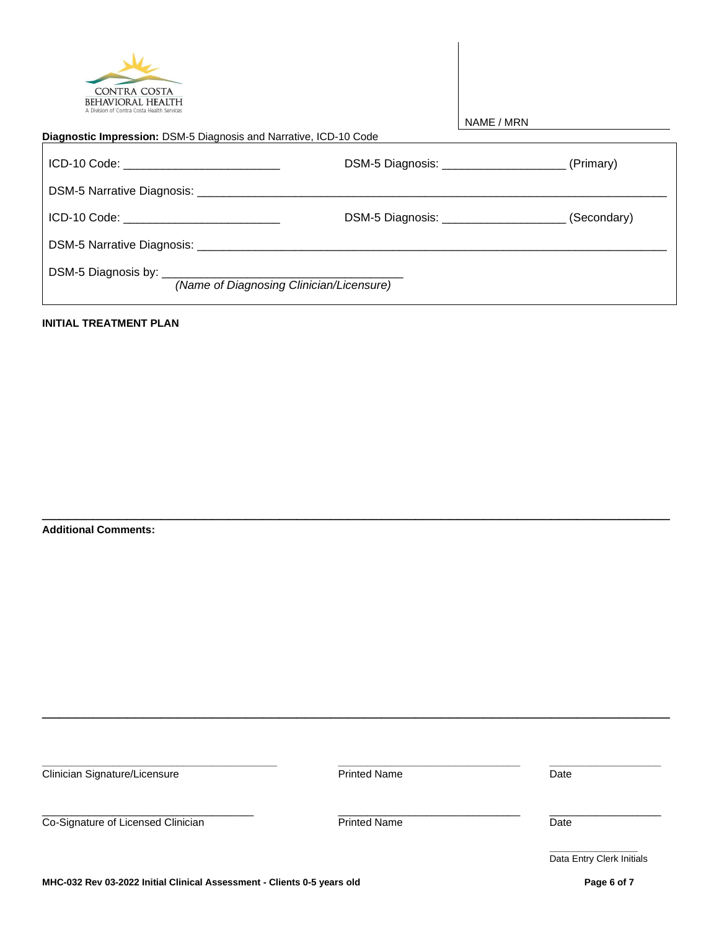| <b>CONTRA COSTA</b>                                                    |
|------------------------------------------------------------------------|
| <b>BEHAVIORAL HEALTH</b><br>A Division of Contra Costa Health Services |

| <b>CONTRA COSTA</b><br><b>BEHAVIORAL HEALTH</b><br>A Division of Contra Costa Health Services                  |                                                     |             |  |  |  |
|----------------------------------------------------------------------------------------------------------------|-----------------------------------------------------|-------------|--|--|--|
|                                                                                                                | NAME / MRN                                          |             |  |  |  |
| <b>Diagnostic Impression: DSM-5 Diagnosis and Narrative, ICD-10 Code</b>                                       |                                                     |             |  |  |  |
| ICD-10 Code: _____________________________                                                                     | DSM-5 Diagnosis: _________________________(Primary) |             |  |  |  |
| DSM-5 Narrative Diagnosis: 2008. 2009. 2010. 2010. 2010. 2010. 2010. 2010. 2011. 2012. 2014. 2016. 2017. 2018. |                                                     |             |  |  |  |
| ICD-10 Code: <u>__________________</u>                                                                         | DSM-5 Diagnosis: _______________________            | (Secondary) |  |  |  |
|                                                                                                                |                                                     |             |  |  |  |
| (Name of Diagnosing Clinician/Licensure)                                                                       |                                                     |             |  |  |  |

## **INITIAL TREATMENT PLAN**

**Additional Comments:**

**\_\_\_\_\_\_\_\_\_\_\_\_\_\_\_\_\_\_\_\_\_\_\_\_\_\_\_\_\_\_\_\_\_\_\_\_\_\_\_\_ \_\_\_\_\_\_\_\_\_\_\_\_\_\_\_\_\_\_\_\_\_\_\_\_\_\_\_\_\_\_\_ \_\_\_\_\_\_\_\_\_\_\_\_\_\_\_\_\_\_\_ Clinician Signature/Licensure Community Clinician Signature/Licensure Clinician Signature/Licensure Community** \_\_\_\_\_\_\_\_\_\_\_\_\_\_\_\_\_\_\_\_\_\_\_\_\_\_\_\_\_\_\_\_\_\_\_\_ \_\_\_\_\_\_\_\_\_\_\_\_\_\_\_\_\_\_\_\_\_\_\_\_\_\_\_\_\_\_\_ \_\_\_\_\_\_\_\_\_\_\_\_\_\_\_\_\_\_\_ Co-Signature of Licensed Clinician Date Printed Name Date **\_\_\_\_\_\_\_\_\_\_\_\_\_\_\_** Data Entry Clerk Initials

\_\_\_\_\_\_\_\_\_\_\_\_\_\_\_\_\_\_\_\_\_\_\_\_\_\_\_\_\_\_\_\_\_\_\_\_\_\_\_\_\_\_\_\_\_\_\_\_\_\_\_\_\_\_\_\_\_\_\_\_\_\_\_\_\_\_\_\_\_\_\_\_\_\_

\_\_\_\_\_\_\_\_\_\_\_\_\_\_\_\_\_\_\_\_\_\_\_\_\_\_\_\_\_\_\_\_\_\_\_\_\_\_\_\_\_\_\_\_\_\_\_\_\_\_\_\_\_\_\_\_\_\_\_\_\_\_\_\_\_\_\_\_\_\_\_\_\_\_